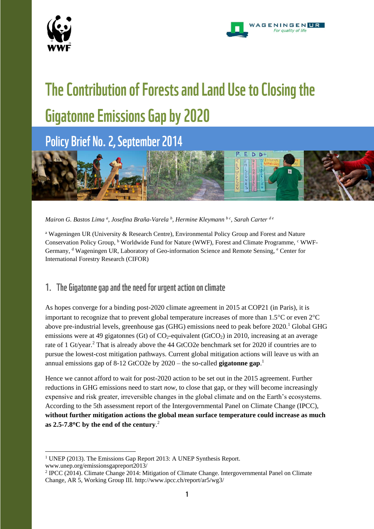

1



# The Contribution of Forests and Land Use to Closing the **Gigatonne Emissions Gap by 2020**

Policy Brief No. 2, September 2014



*Mairon G. Bastos Lima <sup>a</sup> , Josefina Braña-Varela <sup>b</sup> , Hermine Kleymann b c , Sarah Carter <sup>d</sup> <sup>e</sup>*

<sup>a</sup> Wageningen UR (University & Research Centre), Environmental Policy Group and Forest and Nature Conservation Policy Group, <sup>b</sup> Worldwide Fund for Nature (WWF), Forest and Climate Programme, <sup>c</sup> WWF-Germany, d Wageningen UR, Laboratory of Geo-information Science and Remote Sensing, e Center for International Forestry Research (CIFOR)

## 1. The Gigatonne gap and the need for urgent action on climate

As hopes converge for a binding post-2020 climate agreement in 2015 at COP21 (in Paris), it is important to recognize that to prevent global temperature increases of more than  $1.5^{\circ}$ C or even  $2^{\circ}$ C above pre-industrial levels, greenhouse gas (GHG) emissions need to peak before 2020.<sup>1</sup> Global GHG emissions were at 49 gigatonnes (Gt) of  $CO_2$ -equivalent (GtCO<sub>2</sub>) in 2010, increasing at an average rate of 1 Gt/year.<sup>2</sup> That is already above the 44 GtCO2e benchmark set for 2020 if countries are to pursue the lowest-cost mitigation pathways. Current global mitigation actions will leave us with an annual emissions gap of 8-12 GtCO2e by 2020 – the so-called **gigatonne gap**. 1

Hence we cannot afford to wait for post-2020 action to be set out in the 2015 agreement. Further reductions in GHG emissions need to start *now*, to close that gap, or they will become increasingly expensive and risk greater, irreversible changes in the global climate and on the Earth's ecosystems. According to the 5th assessment report of the Intergovernmental Panel on Climate Change (IPCC), **without further mitigation actions the global mean surface temperature could increase as much as 2.5-7.8C by the end of the century**. 2

<sup>&</sup>lt;sup>1</sup> UNEP (2013). The Emissions Gap Report 2013: A UNEP Synthesis Report. www.unep.org/emissionsgapreport2013/

<sup>2</sup> IPCC (2014). Climate Change 2014: Mitigation of Climate Change. Intergovernmental Panel on Climate Change, AR 5, Working Group III. http://www.ipcc.ch/report/ar5/wg3/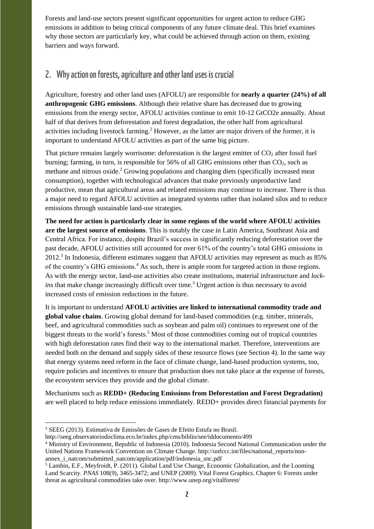Forests and land-use sectors present significant opportunities for urgent action to reduce GHG emissions in addition to being critical components of any future climate deal. This brief examines why those sectors are particularly key, what could be achieved through action on them, existing barriers and ways forward.

## 2. Why action on forests, agriculture and other land uses is crucial

Agriculture, forestry and other land uses (AFOLU) are responsible for **nearly a quarter (24%) of all anthropogenic GHG emissions**. Although their relative share has decreased due to growing emissions from the energy sector, AFOLU activities continue to emit 10-12 GtCO2e annually. About half of that derives from deforestation and forest degradation, the other half from agricultural activities including livestock farming.<sup>2</sup> However, as the latter are major drivers of the former, it is important to understand AFOLU activities as part of the same big picture.

That picture remains largely worrisome: deforestation is the largest emitter of  $CO<sub>2</sub>$  after fossil fuel burning; farming, in turn, is responsible for  $56\%$  of all GHG emissions other than  $CO<sub>2</sub>$ , such as methane and nitrous oxide.<sup>2</sup> Growing populations and changing diets (specifically increased meat consumption), together with technological advances that make previously unproductive land productive, mean that agricultural areas and related emissions may continue to increase. There is thus a major need to regard AFOLU activities as integrated systems rather than isolated silos and to reduce emissions through sustainable land-use strategies.

**The need for action is particularly clear in some regions of the world where AFOLU activities are the largest source of emissions**. This is notably the case in Latin America, Southeast Asia and Central Africa. For instance, despite Brazil's success in significantly reducing deforestation over the past decade, AFOLU activities still accounted for over 61% of the country's total GHG emissions in  $2012<sup>3</sup>$  In Indonesia, different estimates suggest that AFOLU activities may represent as much as 85% of the country's GHG emissions.<sup>4</sup> As such, there is ample room for targeted action in those regions. As with the energy sector, land-use activities also create institutions, material infrastructure and *lockins* that make change increasingly difficult over time. <sup>3</sup> Urgent action is thus necessary to avoid increased costs of emission reductions in the future.

It is important to understand **AFOLU activities are linked to international commodity trade and global value chains**. Growing global demand for land-based commodities (e.g. timber, minerals, beef, and agricultural commodities such as soybean and palm oil) continues to represent one of the biggest threats to the world's forests. <sup>5</sup> Most of those commodities coming out of tropical countries with high deforestation rates find their way to the international market. Therefore, interventions are needed both on the demand and supply sides of these resource flows (see Section 4). In the same way that energy systems need reform in the face of climate change, land-based production systems, too, require policies and incentives to ensure that production does not take place at the expense of forests, the ecosystem services they provide and the global climate.

Mechanisms such as **REDD+ (Reducing Emissions from Deforestation and Forest Degradation)**  are well placed to help reduce emissions immediately. REDD+ provides direct financial payments for

1

<sup>3</sup> SEEG (2013). Estimativa de Emissões de Gases de Efeito Estufa no Brasil.

http://seeg.observatoriodoclima.eco.br/index.php/cms/biblio/see/iddocumento/499

<sup>4</sup> Ministry of Environment, Republic of Indonesia (2010). Indonesia Second National Communication under the United Nations Framework Convention on Climate Change. http://unfccc.int/files/national\_reports/nonannex i natcom/submitted natcom/application/pdf/indonesia snc.pdf

<sup>5</sup> Lambin, E.F., Meyfroidt, P. (2011). Global Land Use Change, Economic Globalization, and the Looming Land Scarcity. *PNAS* 108(9), 3465-3472; and UNEP (2009). Vital Forest Graphics. Chapter 6: Forests under threat as agricultural commodities take over. http://www.unep.org/vitalforest/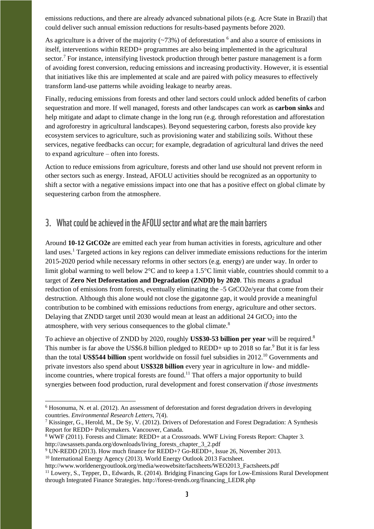emissions reductions, and there are already advanced subnational pilots (e.g. Acre State in Brazil) that could deliver such annual emission reductions for results-based payments before 2020.

As agriculture is a driver of the majority  $(\sim 73\%)$  of deforestation  $^6$  and also a source of emissions in itself, interventions within REDD+ programmes are also being implemented in the agricultural sector.<sup>7</sup> For instance, intensifying livestock production through better pasture management is a form of avoiding forest conversion, reducing emissions and increasing productivity. However, it is essential that initiatives like this are implemented at scale and are paired with policy measures to effectively transform land-use patterns while avoiding leakage to nearby areas.

Finally, reducing emissions from forests and other land sectors could unlock added benefits of carbon sequestration and more. If well managed, forests and other landscapes can work as **carbon sinks** and help mitigate and adapt to climate change in the long run (e.g. through reforestation and afforestation and agroforestry in agricultural landscapes). Beyond sequestering carbon, forests also provide key ecosystem services to agriculture, such as provisioning water and stabilizing soils. Without these services, negative feedbacks can occur; for example, degradation of agricultural land drives the need to expand agriculture – often into forests.

Action to reduce emissions from agriculture, forests and other land use should not prevent reform in other sectors such as energy. Instead, AFOLU activities should be recognized as an opportunity to shift a sector with a negative emissions impact into one that has a positive effect on global climate by sequestering carbon from the atmosphere.

### 3. What could be achieved in the AFOLU sector and what are the main barriers

Around **10-12 GtCO2e** are emitted each year from human activities in forests, agriculture and other land uses.<sup>1</sup> Targeted actions in key regions can deliver immediate emissions reductions for the interim 2015-2020 period while necessary reforms in other sectors (e.g. energy) are under way. In order to limit global warming to well below  $2^{\circ}C$  and to keep a 1.5<sup>o</sup>C limit viable, countries should commit to a target of **Zero Net Deforestation and Degradation (ZNDD) by 2020**. This means a gradual reduction of emissions from forests, eventually eliminating the ~5 GtCO2e/year that come from their destruction. Although this alone would not close the gigatonne gap, it would provide a meaningful contribution to be combined with emissions reductions from energy, agriculture and other sectors. Delaying that ZNDD target until 2030 would mean at least an additional 24 GtCO<sub>2</sub> into the atmosphere, with very serious consequences to the global climate.<sup>8</sup>

To achieve an objective of ZNDD by 2020, roughly **US\$30-53 billion per year** will be required.<sup>8</sup> This number is far above the US\$6.8 billion pledged to REDD+ up to 2018 so far.<sup>9</sup> But it is far less than the total **US\$544 billion** spent worldwide on fossil fuel subsidies in 2012.<sup>10</sup> Governments and private investors also spend about **US\$328 billion** every year in agriculture in low- and middleincome countries, where tropical forests are found.<sup>11</sup> That offers a major opportunity to build synergies between food production, rural development and forest conservation *if those investments* 

1

<sup>6</sup> Hosonuma, N. et al. (2012). An assessment of deforestation and forest degradation drivers in developing countries. *Environmental Research Letters*, 7(4).

<sup>7</sup> Kissinger, G., Herold, M., De Sy, V. (2012). Drivers of Deforestation and Forest Degradation: A Synthesis Report for REDD+ Policymakers. Vancouver, Canada.

<sup>8</sup> WWF (2011). Forests and Climate: REDD+ at a Crossroads. WWF Living Forests Report: Chapter 3. http://awsassets.panda.org/downloads/living\_forests\_chapter\_3\_2.pdf

<sup>9</sup> UN-REDD (2013). How much finance for REDD+? Go-REDD+, Issue 26, November 2013.

<sup>&</sup>lt;sup>10</sup> International Energy Agency (2013). World Energy Outlook 2013 Factsheet.

http://www.worldenergyoutlook.org/media/weowebsite/factsheets/WEO2013\_Factsheets.pdf

<sup>&</sup>lt;sup>11</sup> Lowery, S., Tepper, D., Edwards, R. (2014). Bridging Financing Gaps for Low-Emissions Rural Development through Integrated Finance Strategies. http://forest-trends.org/financing\_LEDR.php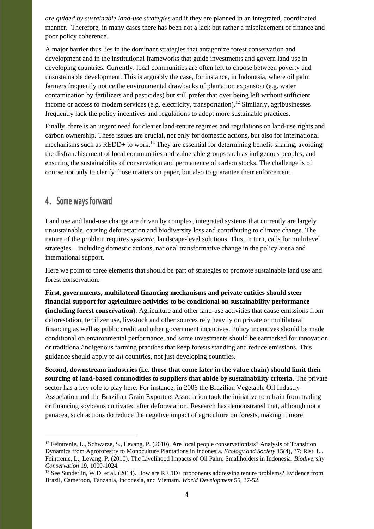*are guided by sustainable land-use strategies* and if they are planned in an integrated, coordinated manner. Therefore, in many cases there has been not a lack but rather a misplacement of finance and poor policy coherence.

A major barrier thus lies in the dominant strategies that antagonize forest conservation and development and in the institutional frameworks that guide investments and govern land use in developing countries. Currently, local communities are often left to choose between poverty and unsustainable development. This is arguably the case, for instance, in Indonesia, where oil palm farmers frequently notice the environmental drawbacks of plantation expansion (e.g. water contamination by fertilizers and pesticides) but still prefer that over being left without sufficient income or access to modern services (e.g. electricity, transportation).<sup>12</sup> Similarly, agribusinesses frequently lack the policy incentives and regulations to adopt more sustainable practices.

Finally, there is an urgent need for clearer land-tenure regimes and regulations on land-use rights and carbon ownership. These issues are crucial, not only for domestic actions, but also for international mechanisms such as  $REDD+$  to work.<sup>13</sup> They are essential for determining benefit-sharing, avoiding the disfranchisement of local communities and vulnerable groups such as indigenous peoples, and ensuring the sustainability of conservation and permanence of carbon stocks. The challenge is of course not only to clarify those matters on paper, but also to guarantee their enforcement.

## 4. Some ways forward

-

Land use and land-use change are driven by complex, integrated systems that currently are largely unsustainable, causing deforestation and biodiversity loss and contributing to climate change. The nature of the problem requires *systemic*, landscape-level solutions. This, in turn, calls for multilevel strategies – including domestic actions, national transformative change in the policy arena and international support.

Here we point to three elements that should be part of strategies to promote sustainable land use and forest conservation.

**First, governments, multilateral financing mechanisms and private entities should steer financial support for agriculture activities to be conditional on sustainability performance (including forest conservation)**. Agriculture and other land-use activities that cause emissions from deforestation, fertilizer use, livestock and other sources rely heavily on private or multilateral financing as well as public credit and other government incentives. Policy incentives should be made conditional on environmental performance, and some investments should be earmarked for innovation or traditional/indigenous farming practices that keep forests standing and reduce emissions. This guidance should apply to *all* countries, not just developing countries.

**Second, downstream industries (i.e. those that come later in the value chain) should limit their sourcing of land-based commodities to suppliers that abide by sustainability criteria**. The private sector has a key role to play here. For instance, in 2006 the Brazilian Vegetable Oil Industry Association and the Brazilian Grain Exporters Association took the initiative to refrain from trading or financing soybeans cultivated after deforestation. Research has demonstrated that, although not a panacea, such actions do reduce the negative impact of agriculture on forests, making it more

<sup>&</sup>lt;sup>12</sup> Feintrenie, L., Schwarze, S., Levang, P. (2010). Are local people conservationists? Analysis of Transition Dynamics from Agroforestry to Monoculture Plantations in Indonesia. *Ecology and Society* 15(4), 37; Rist, L., Feintrenie, L., Levang, P. (2010). The Livelihood Impacts of Oil Palm: Smallholders in Indonesia. *Biodiversity Conservation* 19, 1009-1024.

<sup>&</sup>lt;sup>13</sup> See Sunderlin, W.D. et al. (2014). How are REDD+ proponents addressing tenure problems? Evidence from Brazil, Cameroon, Tanzania, Indonesia, and Vietnam. *World Development* 55, 37-52.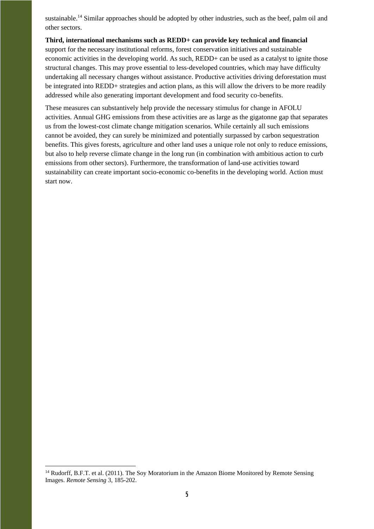sustainable.<sup>14</sup> Similar approaches should be adopted by other industries, such as the beef, palm oil and other sectors.

**Third, international mechanisms such as REDD+ can provide key technical and financial**  support for the necessary institutional reforms, forest conservation initiatives and sustainable economic activities in the developing world. As such, REDD+ can be used as a catalyst to ignite those structural changes. This may prove essential to less-developed countries, which may have difficulty undertaking all necessary changes without assistance. Productive activities driving deforestation must be integrated into REDD+ strategies and action plans, as this will allow the drivers to be more readily addressed while also generating important development and food security co-benefits.

These measures can substantively help provide the necessary stimulus for change in AFOLU activities. Annual GHG emissions from these activities are as large as the gigatonne gap that separates us from the lowest-cost climate change mitigation scenarios. While certainly all such emissions cannot be avoided, they can surely be minimized and potentially surpassed by carbon sequestration benefits. This gives forests, agriculture and other land uses a unique role not only to reduce emissions, but also to help reverse climate change in the long run (in combination with ambitious action to curb emissions from other sectors). Furthermore, the transformation of land-use activities toward sustainability can create important socio-economic co-benefits in the developing world. Action must start now.

1

<sup>&</sup>lt;sup>14</sup> Rudorff, B.F.T. et al. (2011). The Soy Moratorium in the Amazon Biome Monitored by Remote Sensing Images. *Remote Sensing* 3, 185-202.